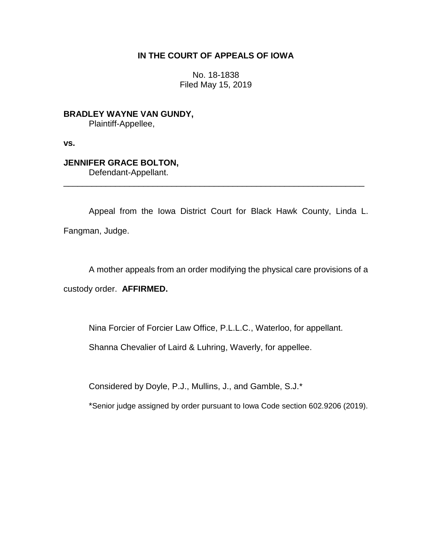## **IN THE COURT OF APPEALS OF IOWA**

No. 18-1838 Filed May 15, 2019

**BRADLEY WAYNE VAN GUNDY,** Plaintiff-Appellee,

**vs.**

# **JENNIFER GRACE BOLTON,**

Defendant-Appellant.

Appeal from the Iowa District Court for Black Hawk County, Linda L. Fangman, Judge.

\_\_\_\_\_\_\_\_\_\_\_\_\_\_\_\_\_\_\_\_\_\_\_\_\_\_\_\_\_\_\_\_\_\_\_\_\_\_\_\_\_\_\_\_\_\_\_\_\_\_\_\_\_\_\_\_\_\_\_\_\_\_\_\_

A mother appeals from an order modifying the physical care provisions of a custody order. **AFFIRMED.**

Nina Forcier of Forcier Law Office, P.L.L.C., Waterloo, for appellant.

Shanna Chevalier of Laird & Luhring, Waverly, for appellee.

Considered by Doyle, P.J., Mullins, J., and Gamble, S.J.\*

\*Senior judge assigned by order pursuant to Iowa Code section 602.9206 (2019).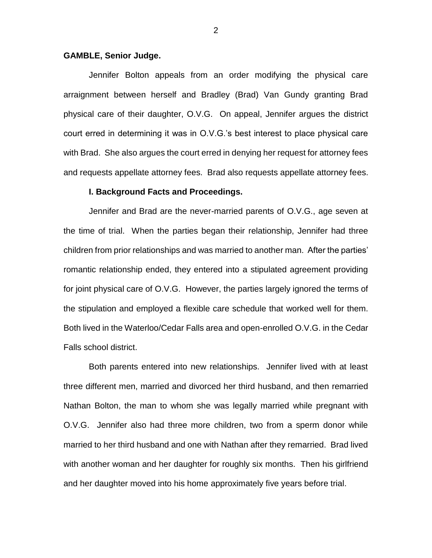## **GAMBLE, Senior Judge.**

Jennifer Bolton appeals from an order modifying the physical care arraignment between herself and Bradley (Brad) Van Gundy granting Brad physical care of their daughter, O.V.G. On appeal, Jennifer argues the district court erred in determining it was in O.V.G.'s best interest to place physical care with Brad. She also argues the court erred in denying her request for attorney fees and requests appellate attorney fees. Brad also requests appellate attorney fees.

## **I. Background Facts and Proceedings.**

Jennifer and Brad are the never-married parents of O.V.G., age seven at the time of trial. When the parties began their relationship, Jennifer had three children from prior relationships and was married to another man. After the parties' romantic relationship ended, they entered into a stipulated agreement providing for joint physical care of O.V.G. However, the parties largely ignored the terms of the stipulation and employed a flexible care schedule that worked well for them. Both lived in the Waterloo/Cedar Falls area and open-enrolled O.V.G. in the Cedar Falls school district.

Both parents entered into new relationships. Jennifer lived with at least three different men, married and divorced her third husband, and then remarried Nathan Bolton, the man to whom she was legally married while pregnant with O.V.G. Jennifer also had three more children, two from a sperm donor while married to her third husband and one with Nathan after they remarried. Brad lived with another woman and her daughter for roughly six months. Then his girlfriend and her daughter moved into his home approximately five years before trial.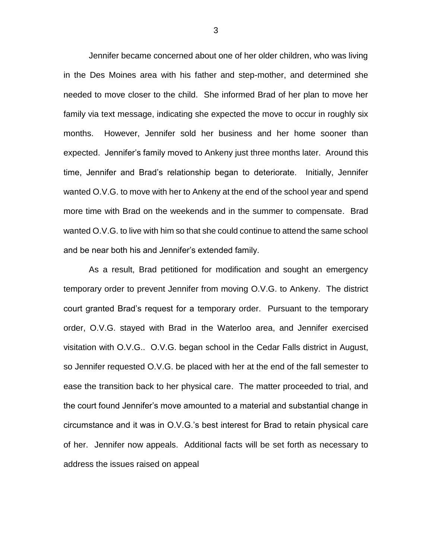Jennifer became concerned about one of her older children, who was living in the Des Moines area with his father and step-mother, and determined she needed to move closer to the child. She informed Brad of her plan to move her family via text message, indicating she expected the move to occur in roughly six months. However, Jennifer sold her business and her home sooner than expected. Jennifer's family moved to Ankeny just three months later. Around this time, Jennifer and Brad's relationship began to deteriorate. Initially, Jennifer wanted O.V.G. to move with her to Ankeny at the end of the school year and spend more time with Brad on the weekends and in the summer to compensate. Brad wanted O.V.G. to live with him so that she could continue to attend the same school and be near both his and Jennifer's extended family.

As a result, Brad petitioned for modification and sought an emergency temporary order to prevent Jennifer from moving O.V.G. to Ankeny. The district court granted Brad's request for a temporary order. Pursuant to the temporary order, O.V.G. stayed with Brad in the Waterloo area, and Jennifer exercised visitation with O.V.G.. O.V.G. began school in the Cedar Falls district in August, so Jennifer requested O.V.G. be placed with her at the end of the fall semester to ease the transition back to her physical care. The matter proceeded to trial, and the court found Jennifer's move amounted to a material and substantial change in circumstance and it was in O.V.G.'s best interest for Brad to retain physical care of her. Jennifer now appeals. Additional facts will be set forth as necessary to address the issues raised on appeal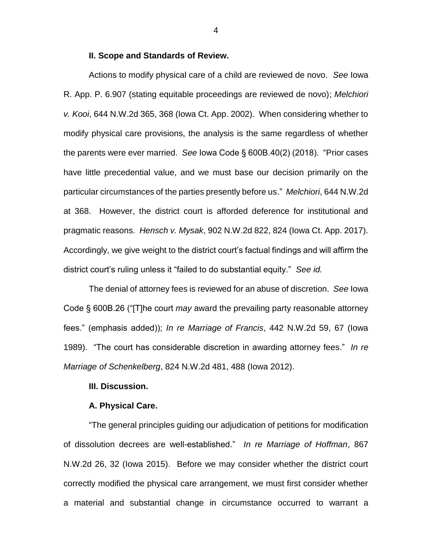## **II. Scope and Standards of Review.**

Actions to modify physical care of a child are reviewed de novo. *See* Iowa R. App. P. 6.907 (stating equitable proceedings are reviewed de novo); *Melchiori v. Kooi*, 644 N.W.2d 365, 368 (Iowa Ct. App. 2002). When considering whether to modify physical care provisions, the analysis is the same regardless of whether the parents were ever married. *See* Iowa Code § 600B.40(2) (2018). "Prior cases have little precedential value, and we must base our decision primarily on the particular circumstances of the parties presently before us." *Melchiori*, 644 N.W.2d at 368. However, the district court is afforded deference for institutional and pragmatic reasons. *Hensch v. Mysak*, 902 N.W.2d 822, 824 (Iowa Ct. App. 2017). Accordingly, we give weight to the district court's factual findings and will affirm the district court's ruling unless it "failed to do substantial equity." *See id.*

The denial of attorney fees is reviewed for an abuse of discretion. *See* Iowa Code § 600B.26 ("[T]he court *may* award the prevailing party reasonable attorney fees." (emphasis added)); *In re Marriage of Francis*, 442 N.W.2d 59, 67 (Iowa 1989). "The court has considerable discretion in awarding attorney fees." *In re Marriage of Schenkelberg*, 824 N.W.2d 481, 488 (Iowa 2012).

## **III. Discussion.**

#### **A. Physical Care.**

"The general principles guiding our adjudication of petitions for modification of dissolution decrees are well-established." *In re Marriage of Hoffman*, 867 N.W.2d 26, 32 (Iowa 2015). Before we may consider whether the district court correctly modified the physical care arrangement, we must first consider whether a material and substantial change in circumstance occurred to warrant a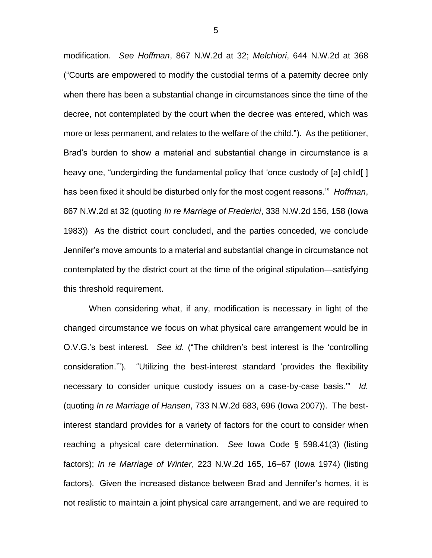modification. *See Hoffman*, 867 N.W.2d at 32; *Melchiori*, 644 N.W.2d at 368 ("Courts are empowered to modify the custodial terms of a paternity decree only when there has been a substantial change in circumstances since the time of the decree, not contemplated by the court when the decree was entered, which was more or less permanent, and relates to the welfare of the child."). As the petitioner, Brad's burden to show a material and substantial change in circumstance is a heavy one, "undergirding the fundamental policy that 'once custody of [a] child[ ] has been fixed it should be disturbed only for the most cogent reasons.'" *Hoffman*, 867 N.W.2d at 32 (quoting *In re Marriage of Frederici*, 338 N.W.2d 156, 158 (Iowa 1983)) As the district court concluded, and the parties conceded, we conclude Jennifer's move amounts to a material and substantial change in circumstance not contemplated by the district court at the time of the original stipulation—satisfying this threshold requirement.

When considering what, if any, modification is necessary in light of the changed circumstance we focus on what physical care arrangement would be in O.V.G.'s best interest. *See id.* ("The children's best interest is the 'controlling consideration.'"). "Utilizing the best-interest standard 'provides the flexibility necessary to consider unique custody issues on a case-by-case basis.'" *Id.* (quoting *In re Marriage of Hansen*, 733 N.W.2d 683, 696 (Iowa 2007)). The bestinterest standard provides for a variety of factors for the court to consider when reaching a physical care determination. *See* Iowa Code § 598.41(3) (listing factors); *In re Marriage of Winter*, 223 N.W.2d 165, 16–67 (Iowa 1974) (listing factors). Given the increased distance between Brad and Jennifer's homes, it is not realistic to maintain a joint physical care arrangement, and we are required to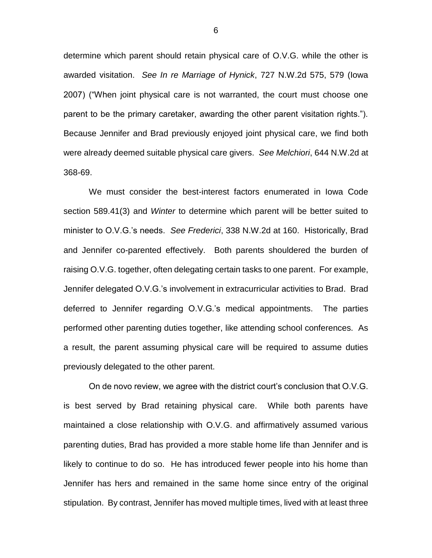determine which parent should retain physical care of O.V.G. while the other is awarded visitation. *See In re Marriage of Hynick*, 727 N.W.2d 575, 579 (Iowa 2007) ("When joint physical care is not warranted, the court must choose one parent to be the primary caretaker, awarding the other parent visitation rights."). Because Jennifer and Brad previously enjoyed joint physical care, we find both were already deemed suitable physical care givers. *See Melchiori*, 644 N.W.2d at 368-69.

We must consider the best-interest factors enumerated in Iowa Code section 589.41(3) and *Winter* to determine which parent will be better suited to minister to O.V.G.'s needs. *See Frederici*, 338 N.W.2d at 160. Historically, Brad and Jennifer co-parented effectively. Both parents shouldered the burden of raising O.V.G. together, often delegating certain tasks to one parent. For example, Jennifer delegated O.V.G.'s involvement in extracurricular activities to Brad. Brad deferred to Jennifer regarding O.V.G.'s medical appointments. The parties performed other parenting duties together, like attending school conferences. As a result, the parent assuming physical care will be required to assume duties previously delegated to the other parent.

On de novo review, we agree with the district court's conclusion that O.V.G. is best served by Brad retaining physical care. While both parents have maintained a close relationship with O.V.G. and affirmatively assumed various parenting duties, Brad has provided a more stable home life than Jennifer and is likely to continue to do so. He has introduced fewer people into his home than Jennifer has hers and remained in the same home since entry of the original stipulation. By contrast, Jennifer has moved multiple times, lived with at least three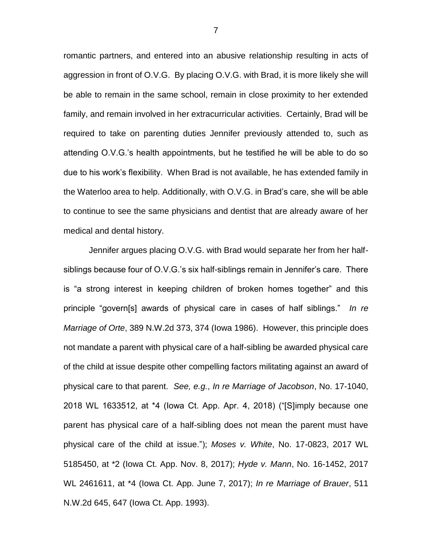romantic partners, and entered into an abusive relationship resulting in acts of aggression in front of O.V.G. By placing O.V.G. with Brad, it is more likely she will be able to remain in the same school, remain in close proximity to her extended family, and remain involved in her extracurricular activities. Certainly, Brad will be required to take on parenting duties Jennifer previously attended to, such as attending O.V.G.'s health appointments, but he testified he will be able to do so due to his work's flexibility. When Brad is not available, he has extended family in the Waterloo area to help. Additionally, with O.V.G. in Brad's care, she will be able to continue to see the same physicians and dentist that are already aware of her medical and dental history.

Jennifer argues placing O.V.G. with Brad would separate her from her halfsiblings because four of O.V.G.'s six half-siblings remain in Jennifer's care. There is "a strong interest in keeping children of broken homes together" and this principle "govern[s] awards of physical care in cases of half siblings." *In re Marriage of Orte*, 389 N.W.2d 373, 374 (Iowa 1986). However, this principle does not mandate a parent with physical care of a half-sibling be awarded physical care of the child at issue despite other compelling factors militating against an award of physical care to that parent. *See, e.g.*, *In re Marriage of Jacobson*, No. 17-1040, 2018 WL 1633512, at \*4 (Iowa Ct. App. Apr. 4, 2018) ("[S]imply because one parent has physical care of a half-sibling does not mean the parent must have physical care of the child at issue."); *Moses v. White*, No. 17-0823, 2017 WL 5185450, at \*2 (Iowa Ct. App. Nov. 8, 2017); *Hyde v. Mann*, No. 16-1452, 2017 WL 2461611, at \*4 (Iowa Ct. App. June 7, 2017); *In re Marriage of Brauer*, 511 N.W.2d 645, 647 (Iowa Ct. App. 1993).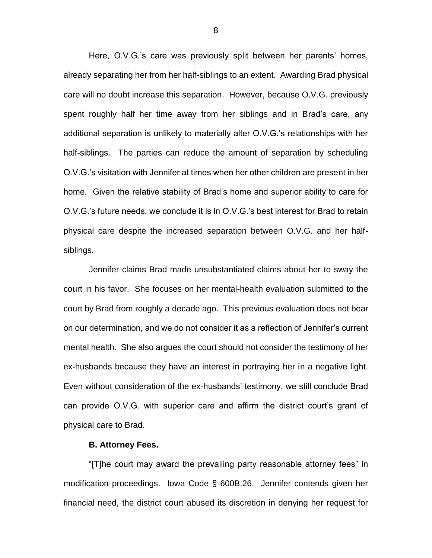Here, O.V.G.'s care was previously split between her parents' homes, already separating her from her half-siblings to an extent. Awarding Brad physical care will no doubt increase this separation. However, because O.V.G. previously spent roughly half her time away from her siblings and in Brad's care, any additional separation is unlikely to materially alter O.V.G.'s relationships with her half-siblings. The parties can reduce the amount of separation by scheduling O.V.G.'s visitation with Jennifer at times when her other children are present in her home. Given the relative stability of Brad's home and superior ability to care for O.V.G.'s future needs, we conclude it is in O.V.G.'s best interest for Brad to retain physical care despite the increased separation between O.V.G. and her halfsiblings.

Jennifer claims Brad made unsubstantiated claims about her to sway the court in his favor. She focuses on her mental-health evaluation submitted to the court by Brad from roughly a decade ago. This previous evaluation does not bear on our determination, and we do not consider it as a reflection of Jennifer's current mental health. She also argues the court should not consider the testimony of her ex-husbands because they have an interest in portraying her in a negative light. Even without consideration of the ex-husbands' testimony, we still conclude Brad can provide O.V.G. with superior care and affirm the district court's grant of physical care to Brad.

#### **B. Attorney Fees.**

"[T]he court may award the prevailing party reasonable attorney fees" in modification proceedings. Iowa Code § 600B.26. Jennifer contends given her financial need, the district court abused its discretion in denying her request for